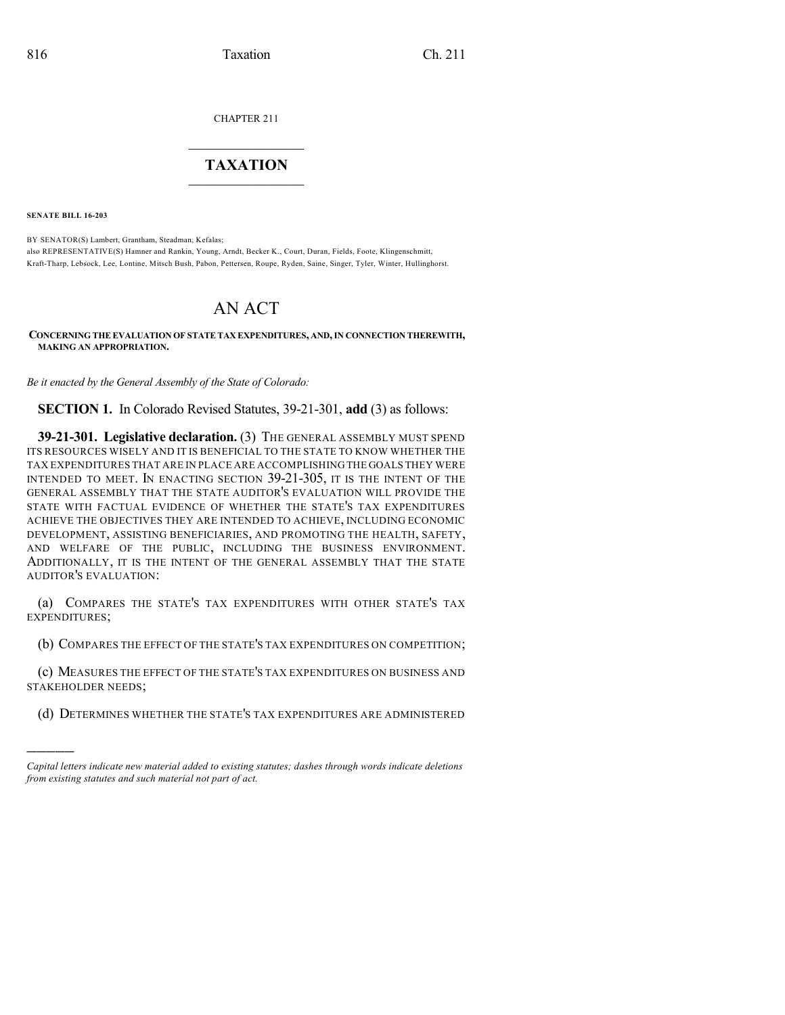CHAPTER 211

## $\overline{\phantom{a}}$  . The set of the set of the set of the set of the set of the set of the set of the set of the set of the set of the set of the set of the set of the set of the set of the set of the set of the set of the set o **TAXATION**  $\_$

**SENATE BILL 16-203**

)))))

BY SENATOR(S) Lambert, Grantham, Steadman, Kefalas; also REPRESENTATIVE(S) Hamner and Rankin, Young, Arndt, Becker K., Court, Duran, Fields, Foote, Klingenschmitt, Kraft-Tharp, Lebsock, Lee, Lontine, Mitsch Bush, Pabon, Pettersen, Roupe, Ryden, Saine, Singer, Tyler, Winter, Hullinghorst.

# AN ACT

#### **CONCERNING THE EVALUATION OF STATE TAX EXPENDITURES, AND,IN CONNECTION THEREWITH, MAKING AN APPROPRIATION.**

*Be it enacted by the General Assembly of the State of Colorado:*

**SECTION 1.** In Colorado Revised Statutes, 39-21-301, **add** (3) as follows:

**39-21-301. Legislative declaration.** (3) THE GENERAL ASSEMBLY MUST SPEND ITS RESOURCES WISELY AND IT IS BENEFICIAL TO THE STATE TO KNOW WHETHER THE TAX EXPENDITURES THAT ARE IN PLACE ARE ACCOMPLISHING THE GOALS THEY WERE INTENDED TO MEET. IN ENACTING SECTION 39-21-305, IT IS THE INTENT OF THE GENERAL ASSEMBLY THAT THE STATE AUDITOR'S EVALUATION WILL PROVIDE THE STATE WITH FACTUAL EVIDENCE OF WHETHER THE STATE'S TAX EXPENDITURES ACHIEVE THE OBJECTIVES THEY ARE INTENDED TO ACHIEVE, INCLUDING ECONOMIC DEVELOPMENT, ASSISTING BENEFICIARIES, AND PROMOTING THE HEALTH, SAFETY, AND WELFARE OF THE PUBLIC, INCLUDING THE BUSINESS ENVIRONMENT. ADDITIONALLY, IT IS THE INTENT OF THE GENERAL ASSEMBLY THAT THE STATE AUDITOR'S EVALUATION:

(a) COMPARES THE STATE'S TAX EXPENDITURES WITH OTHER STATE'S TAX EXPENDITURES;

(b) COMPARES THE EFFECT OF THE STATE'S TAX EXPENDITURES ON COMPETITION;

(c) MEASURES THE EFFECT OF THE STATE'S TAX EXPENDITURES ON BUSINESS AND STAKEHOLDER NEEDS;

(d) DETERMINES WHETHER THE STATE'S TAX EXPENDITURES ARE ADMINISTERED

*Capital letters indicate new material added to existing statutes; dashes through words indicate deletions from existing statutes and such material not part of act.*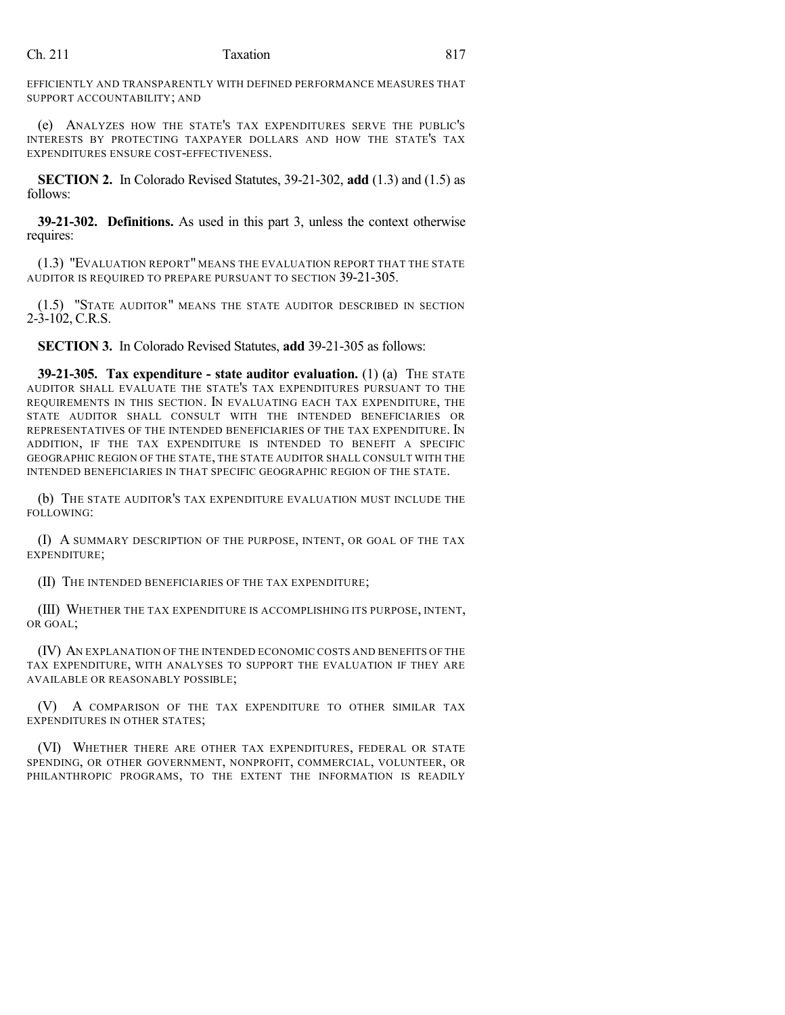### Ch. 211 Taxation 817

EFFICIENTLY AND TRANSPARENTLY WITH DEFINED PERFORMANCE MEASURES THAT SUPPORT ACCOUNTABILITY; AND

(e) ANALYZES HOW THE STATE'S TAX EXPENDITURES SERVE THE PUBLIC'S INTERESTS BY PROTECTING TAXPAYER DOLLARS AND HOW THE STATE'S TAX EXPENDITURES ENSURE COST-EFFECTIVENESS.

**SECTION 2.** In Colorado Revised Statutes, 39-21-302, **add** (1.3) and (1.5) as follows:

**39-21-302. Definitions.** As used in this part 3, unless the context otherwise requires:

(1.3) "EVALUATION REPORT" MEANS THE EVALUATION REPORT THAT THE STATE AUDITOR IS REQUIRED TO PREPARE PURSUANT TO SECTION 39-21-305.

(1.5) "STATE AUDITOR" MEANS THE STATE AUDITOR DESCRIBED IN SECTION  $2-3-102$ , C.R.S.

**SECTION 3.** In Colorado Revised Statutes, **add** 39-21-305 as follows:

**39-21-305. Tax expenditure - state auditor evaluation.** (1) (a) THE STATE AUDITOR SHALL EVALUATE THE STATE'S TAX EXPENDITURES PURSUANT TO THE REQUIREMENTS IN THIS SECTION. IN EVALUATING EACH TAX EXPENDITURE, THE STATE AUDITOR SHALL CONSULT WITH THE INTENDED BENEFICIARIES OR REPRESENTATIVES OF THE INTENDED BENEFICIARIES OF THE TAX EXPENDITURE. IN ADDITION, IF THE TAX EXPENDITURE IS INTENDED TO BENEFIT A SPECIFIC GEOGRAPHIC REGION OF THE STATE, THE STATE AUDITOR SHALL CONSULT WITH THE INTENDED BENEFICIARIES IN THAT SPECIFIC GEOGRAPHIC REGION OF THE STATE.

(b) THE STATE AUDITOR'S TAX EXPENDITURE EVALUATION MUST INCLUDE THE FOLLOWING:

(I) A SUMMARY DESCRIPTION OF THE PURPOSE, INTENT, OR GOAL OF THE TAX EXPENDITURE;

(II) THE INTENDED BENEFICIARIES OF THE TAX EXPENDITURE;

(III) WHETHER THE TAX EXPENDITURE IS ACCOMPLISHING ITS PURPOSE, INTENT, OR GOAL;

(IV) AN EXPLANATION OF THE INTENDED ECONOMIC COSTS AND BENEFITS OF THE TAX EXPENDITURE, WITH ANALYSES TO SUPPORT THE EVALUATION IF THEY ARE AVAILABLE OR REASONABLY POSSIBLE;

(V) A COMPARISON OF THE TAX EXPENDITURE TO OTHER SIMILAR TAX EXPENDITURES IN OTHER STATES;

(VI) WHETHER THERE ARE OTHER TAX EXPENDITURES, FEDERAL OR STATE SPENDING, OR OTHER GOVERNMENT, NONPROFIT, COMMERCIAL, VOLUNTEER, OR PHILANTHROPIC PROGRAMS, TO THE EXTENT THE INFORMATION IS READILY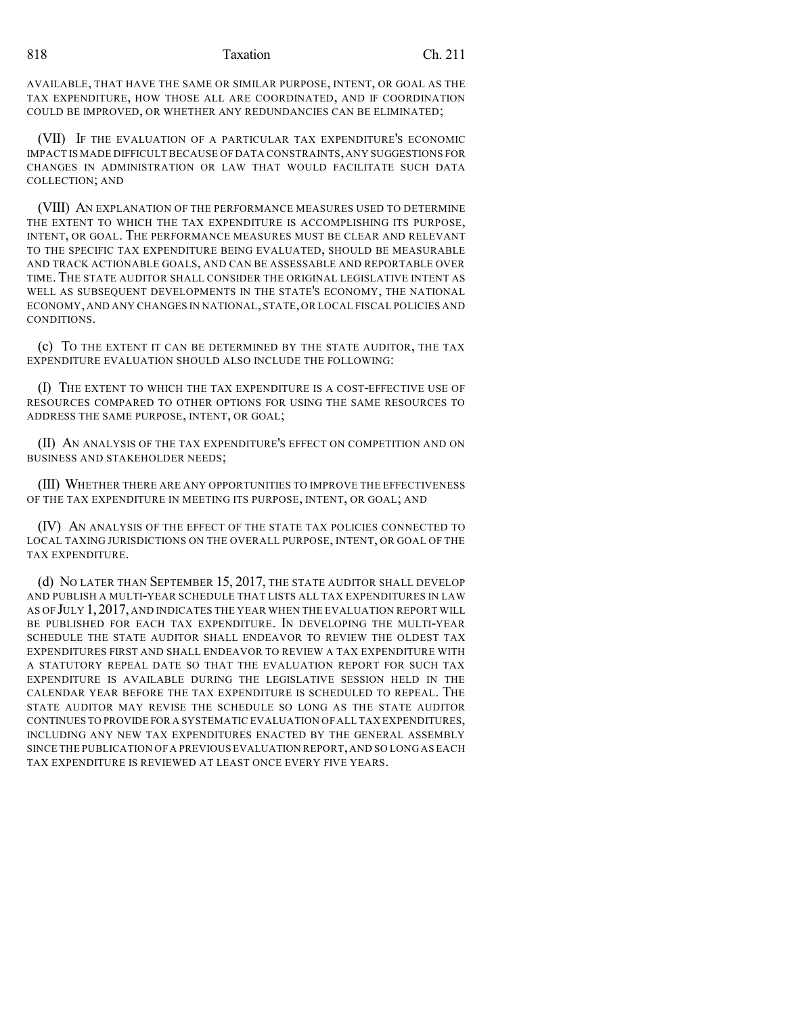#### 818 Taxation Ch. 211

AVAILABLE, THAT HAVE THE SAME OR SIMILAR PURPOSE, INTENT, OR GOAL AS THE TAX EXPENDITURE, HOW THOSE ALL ARE COORDINATED, AND IF COORDINATION COULD BE IMPROVED, OR WHETHER ANY REDUNDANCIES CAN BE ELIMINATED;

(VII) IF THE EVALUATION OF A PARTICULAR TAX EXPENDITURE'S ECONOMIC IMPACT IS MADE DIFFICULT BECAUSE OFDATA CONSTRAINTS,ANY SUGGESTIONS FOR CHANGES IN ADMINISTRATION OR LAW THAT WOULD FACILITATE SUCH DATA COLLECTION; AND

(VIII) AN EXPLANATION OF THE PERFORMANCE MEASURES USED TO DETERMINE THE EXTENT TO WHICH THE TAX EXPENDITURE IS ACCOMPLISHING ITS PURPOSE, INTENT, OR GOAL. THE PERFORMANCE MEASURES MUST BE CLEAR AND RELEVANT TO THE SPECIFIC TAX EXPENDITURE BEING EVALUATED, SHOULD BE MEASURABLE AND TRACK ACTIONABLE GOALS, AND CAN BE ASSESSABLE AND REPORTABLE OVER TIME. THE STATE AUDITOR SHALL CONSIDER THE ORIGINAL LEGISLATIVE INTENT AS WELL AS SUBSEQUENT DEVELOPMENTS IN THE STATE'S ECONOMY, THE NATIONAL ECONOMY, AND ANY CHANGES IN NATIONAL, STATE, OR LOCAL FISCAL POLICIES AND CONDITIONS.

(c) TO THE EXTENT IT CAN BE DETERMINED BY THE STATE AUDITOR, THE TAX EXPENDITURE EVALUATION SHOULD ALSO INCLUDE THE FOLLOWING:

(I) THE EXTENT TO WHICH THE TAX EXPENDITURE IS A COST-EFFECTIVE USE OF RESOURCES COMPARED TO OTHER OPTIONS FOR USING THE SAME RESOURCES TO ADDRESS THE SAME PURPOSE, INTENT, OR GOAL;

(II) AN ANALYSIS OF THE TAX EXPENDITURE'S EFFECT ON COMPETITION AND ON BUSINESS AND STAKEHOLDER NEEDS;

(III) WHETHER THERE ARE ANY OPPORTUNITIES TO IMPROVE THE EFFECTIVENESS OF THE TAX EXPENDITURE IN MEETING ITS PURPOSE, INTENT, OR GOAL; AND

(IV) AN ANALYSIS OF THE EFFECT OF THE STATE TAX POLICIES CONNECTED TO LOCAL TAXING JURISDICTIONS ON THE OVERALL PURPOSE, INTENT, OR GOAL OF THE TAX EXPENDITURE.

(d) NO LATER THAN SEPTEMBER 15, 2017, THE STATE AUDITOR SHALL DEVELOP AND PUBLISH A MULTI-YEAR SCHEDULE THAT LISTS ALL TAX EXPENDITURES IN LAW AS OF JULY 1,2017, AND INDICATES THE YEAR WHEN THE EVALUATION REPORT WILL BE PUBLISHED FOR EACH TAX EXPENDITURE. IN DEVELOPING THE MULTI-YEAR SCHEDULE THE STATE AUDITOR SHALL ENDEAVOR TO REVIEW THE OLDEST TAX EXPENDITURES FIRST AND SHALL ENDEAVOR TO REVIEW A TAX EXPENDITURE WITH A STATUTORY REPEAL DATE SO THAT THE EVALUATION REPORT FOR SUCH TAX EXPENDITURE IS AVAILABLE DURING THE LEGISLATIVE SESSION HELD IN THE CALENDAR YEAR BEFORE THE TAX EXPENDITURE IS SCHEDULED TO REPEAL. THE STATE AUDITOR MAY REVISE THE SCHEDULE SO LONG AS THE STATE AUDITOR CONTINUES TO PROVIDE FOR A SYSTEMATIC EVALUATION OF ALL TAX EXPENDITURES, INCLUDING ANY NEW TAX EXPENDITURES ENACTED BY THE GENERAL ASSEMBLY SINCE THE PUBLICATION OF A PREVIOUS EVALUATION REPORT,AND SO LONG AS EACH TAX EXPENDITURE IS REVIEWED AT LEAST ONCE EVERY FIVE YEARS.